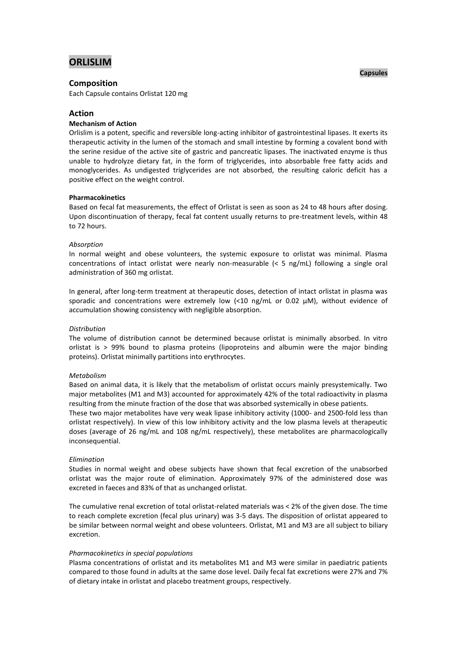# **ORLISLIM**

### **Composition**

Each Capsule contains Orlistat 120 mg

#### **Action**

### **Mechanism of Action**

Orlislim is a potent, specific and reversible long-acting inhibitor of gastrointestinal lipases. It exerts its therapeutic activity in the lumen of the stomach and small intestine by forming a covalent bond with the serine residue of the active site of gastric and pancreatic lipases. The inactivated enzyme is thus unable to hydrolyze dietary fat, in the form of triglycerides, into absorbable free fatty acids and monoglycerides. As undigested triglycerides are not absorbed, the resulting caloric deficit has a positive effect on the weight control.

#### **Pharmacokinetics**

Based on fecal fat measurements, the effect of Orlistat is seen as soon as 24 to 48 hours after dosing. Upon discontinuation of therapy, fecal fat content usually returns to pre-treatment levels, within 48 to 72 hours.

#### *Absorption*

In normal weight and obese volunteers, the systemic exposure to orlistat was minimal. Plasma concentrations of intact orlistat were nearly non-measurable (< 5 ng/mL) following a single oral administration of 360 mg orlistat.

In general, after long-term treatment at therapeutic doses, detection of intact orlistat in plasma was sporadic and concentrations were extremely low (<10 ng/mL or 0.02 µM), without evidence of accumulation showing consistency with negligible absorption.

#### *Distribution*

The volume of distribution cannot be determined because orlistat is minimally absorbed. In vitro orlistat is > 99% bound to plasma proteins (lipoproteins and albumin were the major binding proteins). Orlistat minimally partitions into erythrocytes.

#### *Metabolism*

Based on animal data, it is likely that the metabolism of orlistat occurs mainly presystemically. Two major metabolites (M1 and M3) accounted for approximately 42% of the total radioactivity in plasma resulting from the minute fraction of the dose that was absorbed systemically in obese patients.

These two major metabolites have very weak lipase inhibitory activity (1000- and 2500-fold less than orlistat respectively). In view of this low inhibitory activity and the low plasma levels at therapeutic doses (average of 26 ng/mL and 108 ng/mL respectively), these metabolites are pharmacologically inconsequential.

#### *Elimination*

Studies in normal weight and obese subjects have shown that fecal excretion of the unabsorbed orlistat was the major route of elimination. Approximately 97% of the administered dose was excreted in faeces and 83% of that as unchanged orlistat.

The cumulative renal excretion of total orlistat-related materials was < 2% of the given dose. The time to reach complete excretion (fecal plus urinary) was 3-5 days. The disposition of orlistat appeared to be similar between normal weight and obese volunteers. Orlistat, M1 and M3 are all subject to biliary excretion.

#### *Pharmacokinetics in special populations*

Plasma concentrations of orlistat and its metabolites M1 and M3 were similar in paediatric patients compared to those found in adults at the same dose level. Daily fecal fat excretions were 27% and 7% of dietary intake in orlistat and placebo treatment groups, respectively.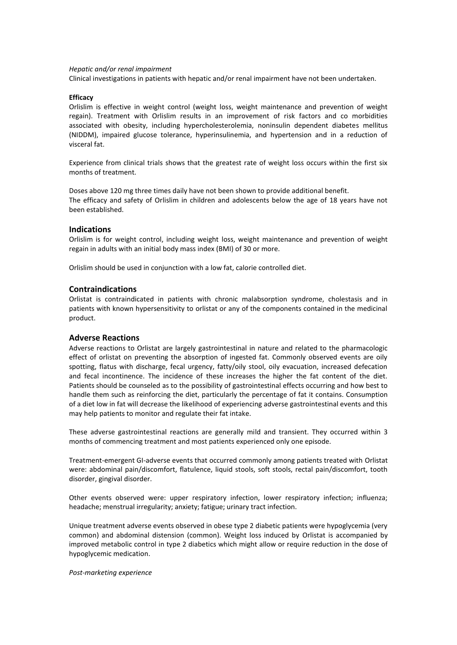#### *Hepatic and/or renal impairment*

Clinical investigations in patients with hepatic and/or renal impairment have not been undertaken.

#### **Efficacy**

Orlislim is effective in weight control (weight loss, weight maintenance and prevention of weight regain). Treatment with Orlislim results in an improvement of risk factors and co morbidities associated with obesity, including hypercholesterolemia, noninsulin dependent diabetes mellitus (NIDDM), impaired glucose tolerance, hyperinsulinemia, and hypertension and in a reduction of visceral fat.

Experience from clinical trials shows that the greatest rate of weight loss occurs within the first six months of treatment.

Doses above 120 mg three times daily have not been shown to provide additional benefit. The efficacy and safety of Orlislim in children and adolescents below the age of 18 years have not been established.

### **Indications**

Orlislim is for weight control, including weight loss, weight maintenance and prevention of weight regain in adults with an initial body mass index (BMI) of 30 or more.

Orlislim should be used in conjunction with a low fat, calorie controlled diet.

### **Contraindications**

Orlistat is contraindicated in patients with chronic malabsorption syndrome, cholestasis and in patients with known hypersensitivity to orlistat or any of the components contained in the medicinal product.

### **Adverse Reactions**

Adverse reactions to Orlistat are largely gastrointestinal in nature and related to the pharmacologic effect of orlistat on preventing the absorption of ingested fat. Commonly observed events are oily spotting, flatus with discharge, fecal urgency, fatty/oily stool, oily evacuation, increased defecation and fecal incontinence. The incidence of these increases the higher the fat content of the diet. Patients should be counseled as to the possibility of gastrointestinal effects occurring and how best to handle them such as reinforcing the diet, particularly the percentage of fat it contains. Consumption of a diet low in fat will decrease the likelihood of experiencing adverse gastrointestinal events and this may help patients to monitor and regulate their fat intake.

These adverse gastrointestinal reactions are generally mild and transient. They occurred within 3 months of commencing treatment and most patients experienced only one episode.

Treatment-emergent GI-adverse events that occurred commonly among patients treated with Orlistat were: abdominal pain/discomfort, flatulence, liquid stools, soft stools, rectal pain/discomfort, tooth disorder, gingival disorder.

Other events observed were: upper respiratory infection, lower respiratory infection; influenza; headache; menstrual irregularity; anxiety; fatigue; urinary tract infection.

Unique treatment adverse events observed in obese type 2 diabetic patients were hypoglycemia (very common) and abdominal distension (common). Weight loss induced by Orlistat is accompanied by improved metabolic control in type 2 diabetics which might allow or require reduction in the dose of hypoglycemic medication.

#### *Post-marketing experience*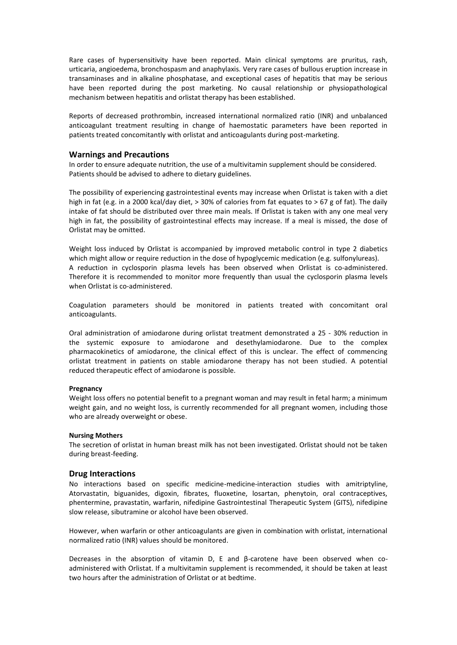Rare cases of hypersensitivity have been reported. Main clinical symptoms are pruritus, rash, urticaria, angioedema, bronchospasm and anaphylaxis. Very rare cases of bullous eruption increase in transaminases and in alkaline phosphatase, and exceptional cases of hepatitis that may be serious have been reported during the post marketing. No causal relationship or physiopathological mechanism between hepatitis and orlistat therapy has been established.

Reports of decreased prothrombin, increased international normalized ratio (INR) and unbalanced anticoagulant treatment resulting in change of haemostatic parameters have been reported in patients treated concomitantly with orlistat and anticoagulants during post-marketing.

### **Warnings and Precautions**

In order to ensure adequate nutrition, the use of a multivitamin supplement should be considered. Patients should be advised to adhere to dietary guidelines.

The possibility of experiencing gastrointestinal events may increase when Orlistat is taken with a diet high in fat (e.g. in a 2000 kcal/day diet, > 30% of calories from fat equates to > 67 g of fat). The daily intake of fat should be distributed over three main meals. If Orlistat is taken with any one meal very high in fat, the possibility of gastrointestinal effects may increase. If a meal is missed, the dose of Orlistat may be omitted.

Weight loss induced by Orlistat is accompanied by improved metabolic control in type 2 diabetics which might allow or require reduction in the dose of hypoglycemic medication (e.g. sulfonylureas). A reduction in cyclosporin plasma levels has been observed when Orlistat is co-administered. Therefore it is recommended to monitor more frequently than usual the cyclosporin plasma levels when Orlistat is co-administered.

Coagulation parameters should be monitored in patients treated with concomitant oral anticoagulants.

Oral administration of amiodarone during orlistat treatment demonstrated a 25 - 30% reduction in the systemic exposure to amiodarone and desethylamiodarone. Due to the complex pharmacokinetics of amiodarone, the clinical effect of this is unclear. The effect of commencing orlistat treatment in patients on stable amiodarone therapy has not been studied. A potential reduced therapeutic effect of amiodarone is possible.

### **Pregnancy**

Weight loss offers no potential benefit to a pregnant woman and may result in fetal harm; a minimum weight gain, and no weight loss, is currently recommended for all pregnant women, including those who are already overweight or obese.

#### **Nursing Mothers**

The secretion of orlistat in human breast milk has not been investigated. Orlistat should not be taken during breast-feeding.

### **Drug Interactions**

No interactions based on specific medicine-medicine-interaction studies with amitriptyline, Atorvastatin, biguanides, digoxin, fibrates, fluoxetine, losartan, phenytoin, oral contraceptives, phentermine, pravastatin, warfarin, nifedipine Gastrointestinal Therapeutic System (GITS), nifedipine slow release, sibutramine or alcohol have been observed.

However, when warfarin or other anticoagulants are given in combination with orlistat, international normalized ratio (INR) values should be monitored.

Decreases in the absorption of vitamin D, E and β-carotene have been observed when coadministered with Orlistat. If a multivitamin supplement is recommended, it should be taken at least two hours after the administration of Orlistat or at bedtime.